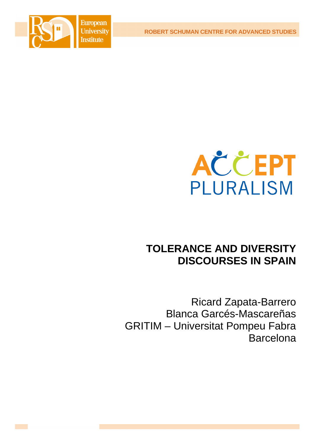**ROBERT SCHUMAN CENTRE FOR ADVANCED STUDIES**



**European University Institute** 



# **TOLERANCE AND DIVERSITY DISCOURSES IN SPAIN**

Ricard Zapata-Barrero Blanca Garcés-Mascareñas GRITIM – Universitat Pompeu Fabra Barcelona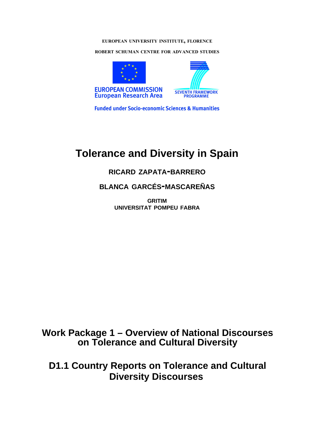#### **EUROPEAN UNIVERSITY INSTITUTE, FLORENCE**

#### **ROBERT SCHUMAN CENTRE FOR ADVANCED STUDIES**



**Funded under Socio-economic Sciences & Humanities** 

## **Tolerance and Diversity in Spain**

## **RICARD ZAPATA-BARRERO**

**BLANCA GARCÉS-MASCAREÑAS**

**GRITIM UNIVERSITAT POMPEU FABRA**

## **Work Package 1 – Overview of National Discourses on Tolerance and Cultural Diversity**

**D1.1 Country Reports on Tolerance and Cultural Diversity Discourses**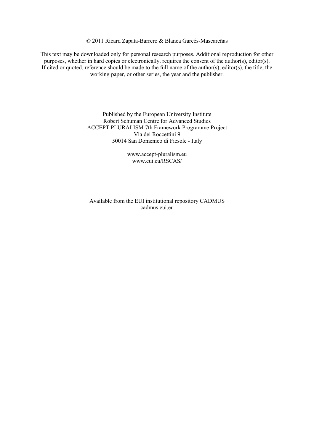#### © 2011 Ricard Zapata-Barrero & Blanca Garcés-Mascareñas

This text may be downloaded only for personal research purposes. Additional reproduction for other purposes, whether in hard copies or electronically, requires the consent of the author(s), editor(s). If cited or quoted, reference should be made to the full name of the author(s), editor(s), the title, the working paper, or other series, the year and the publisher.

> Published by the European University Institute Robert Schuman Centre for Advanced Studies ACCEPT PLURALISM 7th Framework Programme Project Via dei Roccettini 9 50014 San Domenico di Fiesole - Italy

> > www.accept-pluralism.eu www.eui.eu/RSCAS/

Available from the EUI institutional repository CADMUS cadmus.eui.eu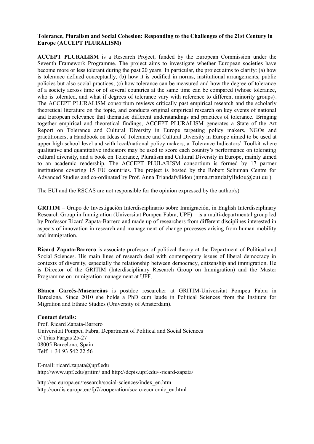#### **Tolerance, Pluralism and Social Cohesion: Responding to the Challenges of the 21st Century in Europe (ACCEPT PLURALISM)**

**ACCEPT PLURALISM** is a Research Project, funded by the European Commission under the Seventh Framework Programme. The project aims to investigate whether European societies have become more or less tolerant during the past 20 years. In particular, the project aims to clarify: (a) how is tolerance defined conceptually, (b) how it is codified in norms, institutional arrangements, public policies but also social practices, (c) how tolerance can be measured and how the degree of tolerance of a society across time or of several countries at the same time can be compared (whose tolerance, who is tolerated, and what if degrees of tolerance vary with reference to different minority groups). The ACCEPT PLURALISM consortium reviews critically past empirical research and the scholarly theoretical literature on the topic, and conducts original empirical research on key events of national and European relevance that thematise different understandings and practices of tolerance. Bringing together empirical and theoretical findings, ACCEPT PLURALISM generates a State of the Art Report on Tolerance and Cultural Diversity in Europe targeting policy makers, NGOs and practitioners, a Handbook on Ideas of Tolerance and Cultural Diversity in Europe aimed to be used at upper high school level and with local/national policy makers, a Tolerance Indicators' Toolkit where qualitative and quantitative indicators may be used to score each country's performance on tolerating cultural diversity, and a book on Tolerance, Pluralism and Cultural Diversity in Europe, mainly aimed to an academic readership. The ACCEPT PLULARISM consortium is formed by 17 partner institutions covering 15 EU countries. The project is hosted by the Robert Schuman Centre for Advanced Studies and co-ordinated by Prof. Anna Triandafyllidou ([anna.triandafyllidou@eui.eu](mailto:anna.triandafyllidou@eui.eu)).

The EUI and the RSCAS are not responsible for the opinion expressed by the author(s)

**GRITIM** – Grupo de Investigación Interdisciplinario sobre Inmigración, in English Interdisciplinary Research Group in Immigration (Universitat Pompeu Fabra, UPF) – is a multi-departmental group led by Professor Ricard Zapata-Barrero and made up of researchers from different disciplines interested in aspects of innovation in research and management of change processes arising from human mobility and immigration.

**Ricard Zapata-Barrero** is associate professor of political theory at the Department of Political and Social Sciences. His main lines of research deal with contemporary issues of liberal democracy in contexts of diversity, especially the relationship between democracy, citizenship and immigration. He is Director of the GRITIM (Interdisciplinary Research Group on Immigration) and the Master Programme on immigration management at UPF.

**Blanca Garcés-Mascareñas** is postdoc researcher at GRITIM-Universitat Pompeu Fabra in Barcelona. Since 2010 she holds a PhD cum laude in Political Sciences from the Institute for Migration and Ethnic Studies (University of Amsterdam).

#### **Contact details:**

Prof. Ricard Zapata-Barrero Universitat Pompeu Fabra, Department of Political and Social Sciences c/ Trias Fargas 25-27 08005 Barcelona, Spain Telf: + 34 93 542 22 56

E-mail: [ricard.zapata@upf.edu](mailto:ricard.zapata@upf.edu) <http://www.upf.edu/gritim/> and<http://dcpis.upf.edu/~ricard-zapata/>

[http://ec.europa.eu/research/social-sciences/index\\_en.htm](http://ec.europa.eu/research/social-sciences/index_en.htm) [http://cordis.europa.eu/fp7/cooperation/socio-economic\\_en.html](http://cordis.europa.eu/fp7/cooperation/socio-economic_en.html)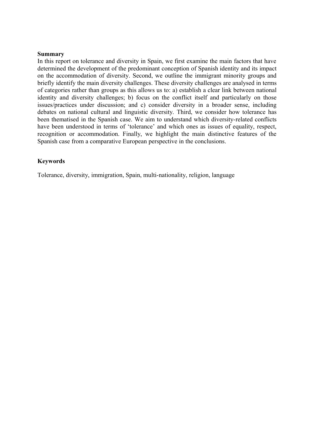#### **Summary**

In this report on tolerance and diversity in Spain, we first examine the main factors that have determined the development of the predominant conception of Spanish identity and its impact on the accommodation of diversity. Second, we outline the immigrant minority groups and briefly identify the main diversity challenges. These diversity challenges are analysed in terms of categories rather than groups as this allows us to: a) establish a clear link between national identity and diversity challenges; b) focus on the conflict itself and particularly on those issues/practices under discussion; and c) consider diversity in a broader sense, including debates on national cultural and linguistic diversity. Third, we consider how tolerance has been thematised in the Spanish case. We aim to understand which diversity-related conflicts have been understood in terms of 'tolerance' and which ones as issues of equality, respect, recognition or accommodation. Finally, we highlight the main distinctive features of the Spanish case from a comparative European perspective in the conclusions.

## **Keywords**

Tolerance, diversity, immigration, Spain, multi-nationality, religion, language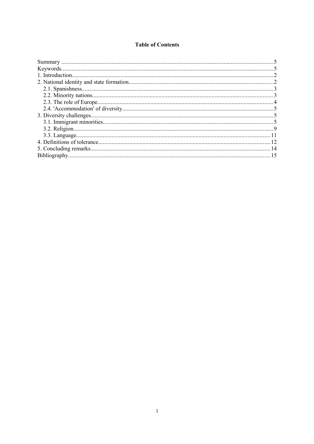## **Table of Contents**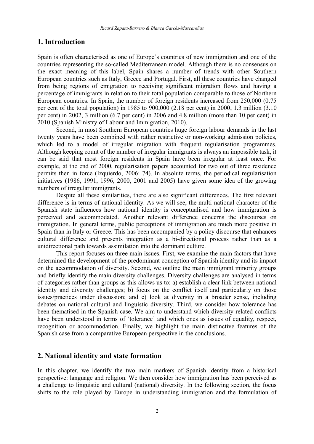## **1. Introduction**

Spain is often characterised as one of Europe's countries of new immigration and one of the countries representing the so-called Mediterranean model. Although there is no consensus on the exact meaning of this label, Spain shares a number of trends with other Southern European countries such as Italy, Greece and Portugal. First, all these countries have changed from being regions of emigration to receiving significant migration flows and having a percentage of immigrants in relation to their total population comparable to those of Northern European countries. In Spain, the number of foreign residents increased from 250,000 (0.75 per cent of the total population) in 1985 to 900,000 (2.18 per cent) in 2000, 1.3 million (3.10 per cent) in 2002, 3 million (6.7 per cent) in 2006 and 4.8 million (more than 10 per cent) in 2010 (Spanish Ministry of Labour and Immigration, 2010).

Second, in most Southern European countries huge foreign labour demands in the last twenty years have been combined with rather restrictive or non-working admission policies, which led to a model of irregular migration with frequent regularisation programmes. Although keeping count of the number of irregular immigrants is always an impossible task, it can be said that most foreign residents in Spain have been irregular at least once. For example, at the end of 2000, regularisation papers accounted for two out of three residence permits then in force (Izquierdo, 2006: 74). In absolute terms, the periodical regularisation initiatives (1986, 1991, 1996, 2000, 2001 and 2005) have given some idea of the growing numbers of irregular immigrants.

Despite all these similarities, there are also significant differences. The first relevant difference is in terms of national identity. As we will see, the multi-national character of the Spanish state influences how national identity is conceptualised and how immigration is perceived and accommodated. Another relevant difference concerns the discourses on immigration. In general terms, public perceptions of immigration are much more positive in Spain than in Italy or Greece. This has been accompanied by a policy discourse that enhances cultural difference and presents integration as a bi-directional process rather than as a unidirectional path towards assimilation into the dominant culture.

This report focuses on three main issues. First, we examine the main factors that have determined the development of the predominant conception of Spanish identity and its impact on the accommodation of diversity. Second, we outline the main immigrant minority groups and briefly identify the main diversity challenges. Diversity challenges are analysed in terms of categories rather than groups as this allows us to: a) establish a clear link between national identity and diversity challenges; b) focus on the conflict itself and particularly on those issues/practices under discussion; and c) look at diversity in a broader sense, including debates on national cultural and linguistic diversity. Third, we consider how tolerance has been thematised in the Spanish case. We aim to understand which diversity-related conflicts have been understood in terms of 'tolerance' and which ones as issues of equality, respect, recognition or accommodation. Finally, we highlight the main distinctive features of the Spanish case from a comparative European perspective in the conclusions.

## **2. National identity and state formation**

In this chapter, we identify the two main markers of Spanish identity from a historical perspective: language and religion. We then consider how immigration has been perceived as a challenge to linguistic and cultural (national) diversity. In the following section, the focus shifts to the role played by Europe in understanding immigration and the formulation of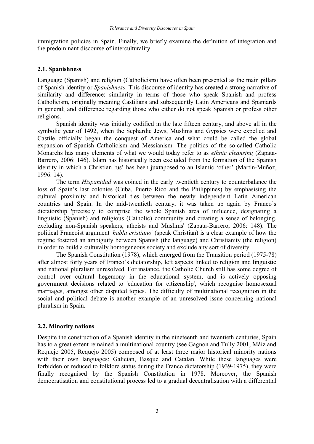immigration policies in Spain. Finally, we briefly examine the definition of integration and the predominant discourse of interculturality.

### **2.1. Spanishness**

Language (Spanish) and religion (Catholicism) have often been presented as the main pillars of Spanish identity or *Spanishness*. This discourse of identity has created a strong narrative of similarity and difference: similarity in terms of those who speak Spanish and profess Catholicism, originally meaning Castilians and subsequently Latin Americans and Spaniards in general; and difference regarding those who either do not speak Spanish or profess other religions.

Spanish identity was initially codified in the late fifteen century, and above all in the symbolic year of 1492, when the Sephardic Jews, Muslims and Gypsies were expelled and Castile officially began the conquest of America and what could be called the global expansion of Spanish Catholicism and Messianism. The politics of the so-called Catholic Monarchs has many elements of what we would today refer to as *ethnic cleansing* (Zapata-Barrero, 2006: 146). Islam has historically been excluded from the formation of the Spanish identity in which a Christian 'us' has been juxtaposed to an Islamic 'other' (Martín-Muñoz, 1996: 14).

The term *Hispanidad* was coined in the early twentieth century to counterbalance the loss of Spain's last colonies (Cuba, Puerto Rico and the Philippines) by emphasising the cultural proximity and historical ties between the newly independent Latin American countries and Spain. In the mid-twentieth century, it was taken up again by Franco's dictatorship 'precisely to comprise the whole Spanish area of influence, designating a linguistic (Spanish) and religious (Catholic) community and creating a sense of belonging, excluding non-Spanish speakers, atheists and Muslims' (Zapata-Barrero, 2006: 148). The political Francoist argument '*habla cristiano*' (speak Christian) is a clear example of how the regime fostered an ambiguity between Spanish (the language) and Christianity (the religion) in order to build a culturally homogeneous society and exclude any sort of diversity.

The Spanish Constitution (1978), which emerged from the Transition period (1975-78) after almost forty years of Franco's dictatorship, left aspects linked to religion and linguistic and national pluralism unresolved. For instance, the Catholic Church still has some degree of control over cultural hegemony in the educational system, and is actively opposing government decisions related to 'education for citizenship', which recognise homosexual marriages, amongst other disputed topics. The difficulty of multinational recognition in the social and political debate is another example of an unresolved issue concerning national pluralism in Spain.

## **2.2. Minority nations**

Despite the construction of a Spanish identity in the nineteenth and twentieth centuries, Spain has to a great extent remained a multinational country (see Gagnon and Tully 2001, Máiz and Requejo 2005, Requejo 2005) composed of at least three major historical minority nations with their own languages: Galician, Basque and Catalan. While these languages were forbidden or reduced to folklore status during the Franco dictatorship (1939-1975), they were finally recognised by the Spanish Constitution in 1978. Moreover, the Spanish democratisation and constitutional process led to a gradual decentralisation with a differential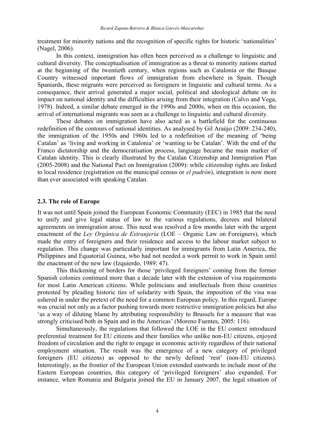treatment for minority nations and the recognition of specific rights for historic 'nationalities' (Nagel, 2006).

In this context, immigration has often been perceived as a challenge to linguistic and cultural diversity. The conceptualisation of immigration as a threat to minority nations started at the beginning of the twentieth century, when regions such as Catalonia or the Basque Country witnessed important flows of immigration from elsewhere in Spain. Though Spaniards, these migrants were perceived as foreigners in linguistic and cultural terms. As a consequence, their arrival generated a major social, political and ideological debate on its impact on national identity and the difficulties arising from their integration (Calvo and Vega, 1978). Indeed, a similar debate emerged in the 1990s and 2000s, when on this occasion, the arrival of international migrants was seen as a challenge to linguistic and cultural diversity.

These debates on immigration have also acted as a battlefield for the continuous redefinition of the contours of national identities. As analysed by Gil Araújo (2009: 234-240), the immigration of the 1950s and 1960s led to a redefinition of the meaning of 'being Catalan' as 'living and working in Catalonia' or 'wanting to be Catalan'. With the end of the Franco dictatorship and the democratisation process, language became the main marker of Catalan identity. This is clearly illustrated by the Catalan Citizenship and Immigration Plan (2005-2008) and the National Pact on Immigration (2009): while citizenship rights are linked to local residence (registration on the municipal census or *el padrón*), integration is now more than ever associated with speaking Catalan.

#### **2.3. The role of Europe**

It was not until Spain joined the European Economic Community (EEC) in 1985 that the need to unify and give legal status of law to the various regulations, decrees and bilateral agreements on immigration arose. This need was resolved a few months later with the urgent enactment of the *Ley Orgánica de Extranjería* (LOE – Organic Law on Foreigners), which made the entry of foreigners and their residence and access to the labour market subject to regulation. This change was particularly important for immigrants from Latin America, the Philippines and Equatorial Guinea, who had not needed a work permit to work in Spain until the enactment of the new law (Izquierdo, 1989: 47).

This thickening of borders for those 'privileged foreigners' coming from the former Spanish colonies continued more than a decade later with the extension of visa requirements for most Latin American citizens. While politicians and intellectuals from these countries protested by pleading historic ties of solidarity with Spain, the imposition of the visa was ushered in under the pretext of the need for a common European policy. In this regard, Europe was crucial not only as a factor pushing towards more restrictive immigration policies but also 'as a way of diluting blame by attributing responsibility to Brussels for a measure that was strongly criticised both in Spain and in the Americas' (Moreno Fuentes, 2005: 116).

Simultaneously, the regulations that followed the LOE in the EU context introduced preferential treatment for EU citizens and their families who unlike non-EU citizens, enjoyed freedom of circulation and the right to engage in economic activity regardless of their national employment situation. The result was the emergence of a new category of privileged foreigners (EU citizens) as opposed to the newly defined 'rest' (non-EU citizens). Interestingly, as the frontier of the European Union extended eastwards to include most of the Eastern European countries, this category of 'privileged foreigners' also expanded. For instance, when Romania and Bulgaria joined the EU in January 2007, the legal situation of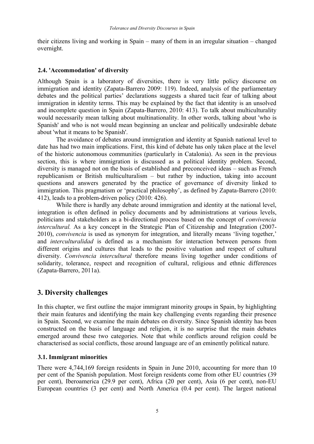their citizens living and working in Spain – many of them in an irregular situation – changed overnight.

### **2.4. 'Accommodation' of diversity**

Although Spain is a laboratory of diversities, there is very little policy discourse on immigration and identity (Zapata-Barrero 2009: 119). Indeed, analysis of the parliamentary debates and the political parties' declarations suggests a shared tacit fear of talking about immigration in identity terms. This may be explained by the fact that identity is an unsolved and incomplete question in Spain (Zapata-Barrero, 2010: 413). To talk about multiculturality would necessarily mean talking about multinationality. In other words, talking about 'who is Spanish' and who is not would mean beginning an unclear and politically undesirable debate about 'what it means to be Spanish'.

The avoidance of debates around immigration and identity at Spanish national level to date has had two main implications. First, this kind of debate has only taken place at the level of the historic autonomous communities (particularly in Catalonia). As seen in the previous section, this is where immigration is discussed as a political identity problem. Second, diversity is managed not on the basis of established and preconceived ideas – such as French republicanism or British multiculturalism – but rather by induction, taking into account questions and answers generated by the practice of governance of diversity linked to immigration. This pragmatism or 'practical philosophy', as defined by Zapata-Barrero (2010: 412), leads to a problem-driven policy (2010: 426).

While there is hardly any debate around immigration and identity at the national level, integration is often defined in policy documents and by administrations at various levels, politicians and stakeholders as a bi-directional process based on the concept of *convivencia intercultural.* As a key concept in the Strategic Plan of Citizenship and Integration (2007- 2010), *convivencia* is used as synonym for integration, and literally means 'living together,' and *interculturalidad* is defined as a mechanism for interaction between persons from different origins and cultures that leads to the positive valuation and respect of cultural diversity. *Convivencia intercultural* therefore means living together under conditions of solidarity, tolerance, respect and recognition of cultural, religious and ethnic differences (Zapata-Barrero, 2011a).

## **3. Diversity challenges**

In this chapter, we first outline the major immigrant minority groups in Spain, by highlighting their main features and identifying the main key challenging events regarding their presence in Spain. Second, we examine the main debates on diversity. Since Spanish identity has been constructed on the basis of language and religion, it is no surprise that the main debates emerged around these two categories. Note that while conflicts around religion could be characterised as social conflicts, those around language are of an eminently political nature.

## **3.1. Immigrant minorities**

There were 4,744,169 foreign residents in Spain in June 2010, accounting for more than 10 per cent of the Spanish population. Most foreign residents come from other EU countries (39 per cent), Iberoamerica (29.9 per cent), Africa (20 per cent), Asia (6 per cent), non-EU European countries (3 per cent) and North America (0.4 per cent). The largest national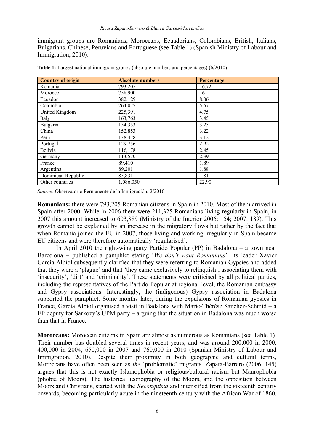immigrant groups are Romanians, Moroccans, Ecuadorians, Colombians, British, Italians, Bulgarians, Chinese, Peruvians and Portuguese (see Table 1) (Spanish Ministry of Labour and Immigration, 2010).

| Country of origin  | <b>Absolute numbers</b> | Percentage |
|--------------------|-------------------------|------------|
| Romania            | 793,205                 | 16.72      |
| Morocco            | 758,900                 | 16         |
| Ecuador            | 382,129                 | 8.06       |
| Colombia           | 264,075                 | 5.57       |
| United Kingdom     | 225,391                 | 4.75       |
| Italy              | 163,763                 | 3.45       |
| Bulgaria           | 154,353                 | 3.25       |
| China              | 152,853                 | 3.22       |
| Peru               | 138,478                 | 3.12       |
| Portugal           | 129,756                 | 2.92       |
| Bolivia            | 116,178                 | 2.45       |
| Germany            | 113,570                 | 2.39       |
| France             | 89,410                  | 1.89       |
| Argentina          | 89,201                  | 1.88       |
| Dominican Republic | 85,831                  | 1.81       |
| Other countries    | 1,086,050               | 22.90      |

**Table 1:** Largest national immigrant groups (absolute numbers and percentages) (6/2010)

*Source*: Observatorio Permanente de la Inmigración, 2/2010

**Romanians:** there were 793,205 Romanian citizens in Spain in 2010. Most of them arrived in Spain after 2000. While in 2006 there were 211,325 Romanians living regularly in Spain, in 2007 this amount increased to 603,889 (Ministry of the Interior 2006: 154; 2007: 189). This growth cannot be explained by an increase in the migratory flows but rather by the fact that when Romania joined the EU in 2007, those living and working irregularly in Spain became EU citizens and were therefore automatically 'regularised'.

In April 2010 the right-wing party Partido Popular (PP) in Badalona – a town near Barcelona – published a pamphlet stating '*We don't want Romanians*'. Its leader Xavier García Albiol subsequently clarified that they were referring to Romanian Gypsies and added that they were a 'plague' and that 'they came exclusively to relinquish', associating them with 'insecurity', 'dirt' and 'criminality'. These statements were criticised by all political parties, including the representatives of the Partido Popular at regional level, the Romanian embassy and Gypsy associations. Interestingly, the (indigenous) Gypsy association in Badalona supported the pamphlet. Some months later, during the expulsions of Romanian gypsies in France, García Albiol organised a visit in Badalona with Marie-Thérèse Sanchez-Schmid – a EP deputy for Sarkozy's UPM party – arguing that the situation in Badalona was much worse than that in France.

**Moroccans:** Moroccan citizens in Spain are almost as numerous as Romanians (see Table 1). Their number has doubled several times in recent years, and was around 200,000 in 2000, 400,000 in 2004, 650,000 in 2007 and 760,000 in 2010 (Spanish Ministry of Labour and Immigration, 2010). Despite their proximity in both geographic and cultural terms, Moroccans have often been seen as *the* 'problematic' migrants. Zapata-Barrero (2006: 145) argues that this is not exactly Islamophobia or religious/cultural racism but Maurophobia (phobia of Moors). The historical iconography of the Moors, and the opposition between Moors and Christians, started with the *Reconquista* and intensified from the sixteenth century onwards, becoming particularly acute in the nineteenth century with the African War of 1860.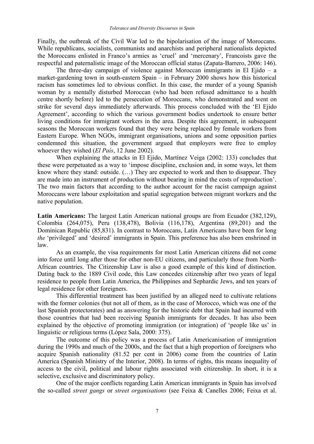Finally, the outbreak of the Civil War led to the bipolarisation of the image of Moroccans. While republicans, socialists, communists and anarchists and peripheral nationalists depicted the Moroccans enlisted in Franco's armies as 'cruel' and 'mercenary', Francoists gave the respectful and paternalistic image of the Moroccan official status (Zapata-Barrero, 2006: 146).

The three-day campaign of violence against Moroccan immigrants in El Ejido – a market-gardening town in south-eastern Spain – in February 2000 shows how this historical racism has sometimes led to obvious conflict. In this case, the murder of a young Spanish woman by a mentally disturbed Moroccan (who had been refused admittance to a health centre shortly before) led to the persecution of Moroccans, who demonstrated and went on strike for several days immediately afterwards. This process concluded with the 'El Ejido Agreement', according to which the various government bodies undertook to ensure better living conditions for immigrant workers in the area. Despite this agreement, in subsequent seasons the Moroccan workers found that they were being replaced by female workers from Eastern Europe. When NGOs, immigrant organisations, unions and some opposition parties condemned this situation, the government argued that employers were free to employ whoever they wished (*El País*, 12 June 2002).

When explaining the attacks in El Ejido, Martínez Veiga (2002: 133) concludes that these were perpetuated as a way to 'impose discipline, exclusion and, in some ways, let them know where they stand: outside. (…) They are expected to work and then to disappear. They are made into an instrument of production without bearing in mind the costs of reproduction'. The two main factors that according to the author account for the racist campaign against Moroccans were labour exploitation and spatial segregation between migrant workers and the native population.

**Latin Americans:** The largest Latin American national groups are from Ecuador (382,129), Colombia (264,075), Peru (138,478), Bolivia (116,178), Argentina (89,201) and the Dominican Republic (85,831). In contrast to Moroccans, Latin Americans have been for long *the* 'privileged' and 'desired' immigrants in Spain. This preference has also been enshrined in law.

As an example, the visa requirements for most Latin American citizens did not come into force until long after those for other non-EU citizens, and particularly those from North-African countries. The Citizenship Law is also a good example of this kind of distinction. Dating back to the 1889 Civil code, this Law concedes citizenship after two years of legal residence to people from Latin America, the Philippines and Sephardic Jews, and ten years of legal residence for other foreigners.

This differential treatment has been justified by an alleged need to cultivate relations with the former colonies (but not all of them, as in the case of Morocco, which was one of the last Spanish protectorates) and as answering for the historic debt that Spain had incurred with those countries that had been receiving Spanish immigrants for decades. It has also been explained by the objective of promoting immigration (or integration) of 'people like us' in linguistic or religious terms (López Sala, 2000: 375).

The outcome of this policy was a process of Latin Americanisation of immigration during the 1990s and much of the 2000s, and the fact that a high proportion of foreigners who acquire Spanish nationality (81.52 per cent in 2006) come from the countries of Latin America (Spanish Ministry of the Interior, 2008). In terms of rights, this means inequality of access to the civil, political and labour rights associated with citizenship. In short, it is a selective, exclusive and discriminatory policy.

One of the major conflicts regarding Latin American immigrants in Spain has involved the so-called *street gangs* or *street organisations* (see Feixa & Canelles 2006; Feixa et al.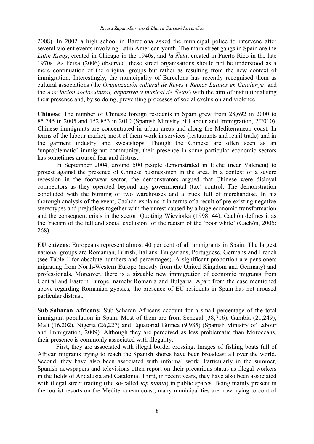2008). In 2002 a high school in Barcelona asked the municipal police to intervene after several violent events involving Latin American youth. The main street gangs in Spain are the *Latin Kings*, created in Chicago in the 1940s, and *la Ñeta*, created in Puerto Rico in the late 1970s. As Feixa (2006) observed, these street organisations should not be understood as a mere continuation of the original groups but rather as resulting from the new context of immigration. Interestingly, the municipality of Barcelona has recently recognised them as cultural associations (the *Organización cultural de Reyes y Reinas Latinos en Catalunya*, and the *Asociación sociocultural, deportiva y musical de Ñetas*) with the aim of institutionalising their presence and, by so doing, preventing processes of social exclusion and violence.

**Chinese:** The number of Chinese foreign residents in Spain grew from 28,692 in 2000 to 85.745 in 2005 and 152,853 in 2010 (Spanish Ministry of Labour and Immigration, 2/2010). Chinese immigrants are concentrated in urban areas and along the Mediterranean coast. In terms of the labour market, most of them work in services (restaurants and retail trade) and in the garment industry and sweatshops. Though the Chinese are often seen as an 'unproblematic' immigrant community, their presence in some particular economic sectors has sometimes aroused fear and distrust.

In September 2004, around 500 people demonstrated in Elche (near Valencia) to protest against the presence of Chinese businessmen in the area. In a context of a severe recession in the footwear sector, the demonstrators argued that Chinese were disloyal competitors as they operated beyond any governmental (tax) control. The demonstration concluded with the burning of two warehouses and a truck full of merchandise. In his thorough analysis of the event, Cachón explains it in terms of a result of pre-existing negative stereotypes and prejudices together with the unrest caused by a huge economic transformation and the consequent crisis in the sector. Quotinig Wieviorka (1998: 44), Cachón defines it as the 'racism of the fall and social exclusion' or the racism of the 'poor white' (Cachón, 2005: 268).

**EU citizens**: Europeans represent almost 40 per cent of all immigrants in Spain. The largest national groups are Romanian, British, Italians, Bulgarians, Portuguese, Germans and French (see Table 1 for absolute numbers and percentages). A significant proportion are pensioners migrating from North-Western Europe (mostly from the United Kingdom and Germany) and professionals. Moreover, there is a sizeable new immigration of economic migrants from Central and Eastern Europe, namely Romania and Bulgaria. Apart from the case mentioned above regarding Romanian gypsies, the presence of EU residents in Spain has not aroused particular distrust.

**Sub-Saharan Africans:** Sub-Saharan Africans account for a small percentage of the total immigrant population in Spain. Most of them are from Senegal (38,716), Gambia (21,249), Mali (16,202), Nigeria (26,227) and Equatorial Guinea (9,985) (Spanish Ministry of Labour and Immigration, 2009). Although they are perceived as less problematic than Moroccans, their presence is commonly associated with illegality.

First, they are associated with illegal border crossing. Images of fishing boats full of African migrants trying to reach the Spanish shores have been broadcast all over the world. Second, they have also been associated with informal work. Particularly in the summer, Spanish newspapers and televisions often report on their precarious status as illegal workers in the fields of Andalusia and Catalonia. Third, in recent years, they have also been associated with illegal street trading (the so-called *top manta*) in public spaces. Being mainly present in the tourist resorts on the Mediterranean coast, many municipalities are now trying to control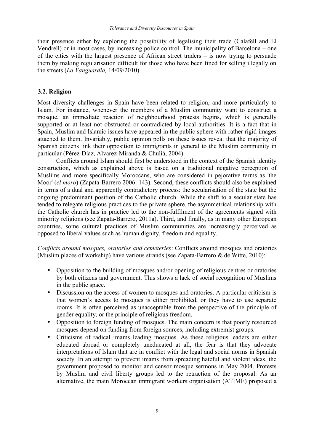their presence either by exploring the possibility of legalising their trade (Calafell and El Vendrell) or in most cases, by increasing police control. The municipality of Barcelona – one of the cities with the largest presence of African street traders – is now trying to persuade them by making regularisation difficult for those who have been fined for selling illegally on the streets (*La Vanguardia,* 14/09/2010).

## **3.2. Religion**

Most diversity challenges in Spain have been related to religion, and more particularly to Islam. For instance, whenever the members of a Muslim community want to construct a mosque, an immediate reaction of neighbourhood protests begins, which is generally supported or at least not obstructed or contradicted by local authorities. It is a fact that in Spain, Muslim and Islamic issues have appeared in the public sphere with rather rigid images attached to them. Invariably, public opinion polls on these issues reveal that the majority of Spanish citizens link their opposition to immigrants in general to the Muslim community in particular (Pérez-Díaz, Álvarez-Miranda & Chuliá, 2004).

Conflicts around Islam should first be understood in the context of the Spanish identity construction, which as explained above is based on a traditional negative perception of Muslims and more specifically Moroccans, who are considered in pejorative terms as 'the Moor' (*el moro*) (Zapata-Barrero 2006: 143). Second, these conflicts should also be explained in terms of a dual and apparently contradictory process: the secularisation of the state but the ongoing predominant position of the Catholic church. While the shift to a secular state has tended to relegate religious practices to the private sphere, the asymmetrical relationship with the Catholic church has in practice led to the non-fulfilment of the agreements signed with minority religions (see Zapata-Barrero, 2011a). Third, and finally, as in many other European countries, some cultural practices of Muslim communities are increasingly perceived as opposed to liberal values such as human dignity, freedom and equality.

*Conflicts around mosques, oratories and cemeteries*: Conflicts around mosques and oratories (Muslim places of workship) have various strands (see Zapata-Barrero & de Witte, 2010):

- Opposition to the building of mosques and/or opening of religious centres or oratories by both citizens and government. This shows a lack of social recognition of Muslims in the public space.
- Discussion on the access of women to mosques and oratories. A particular criticism is that women's access to mosques is either prohibited, or they have to use separate rooms. It is often perceived as unacceptable from the perspective of the principle of gender equality, or the principle of religious freedom.
- Opposition to foreign funding of mosques. The main concern is that poorly resourced mosques depend on funding from foreign sources, including extremist groups.
- Criticisms of radical imams leading mosques. As these religious leaders are either educated abroad or completely uneducated at all, the fear is that they advocate interpretations of Islam that are in conflict with the legal and social norms in Spanish society. In an attempt to prevent imams from spreading hateful and violent ideas, the government proposed to monitor and censor mosque sermons in May 2004. Protests by Muslim and civil liberty groups led to the retraction of the proposal. As an alternative, the main Moroccan immigrant workers organisation (ATIME) proposed a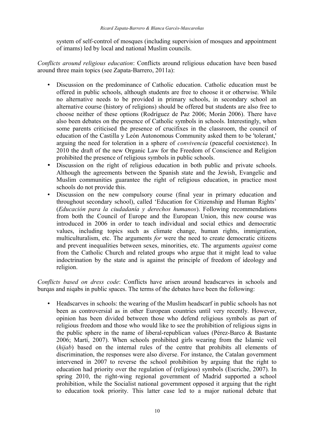system of self-control of mosques (including supervision of mosques and appointment of imams) led by local and national Muslim councils.

*Conflicts around religious education*: Conflicts around religious education have been based around three main topics (see Zapata-Barrero, 2011a):

- Discussion on the predominance of Catholic education. Catholic education must be offered in public schools, although students are free to choose it or otherwise. While no alternative needs to be provided in primary schools, in secondary school an alternative course (history of religions) should be offered but students are also free to choose neither of these options (Rodríguez de Paz 2006; Morán 2006). There have also been debates on the presence of Catholic symbols in schools. Interestingly, when some parents criticised the presence of crucifixes in the classroom, the council of education of the Castilla y León Autonomous Community asked them to be 'tolerant,' arguing the need for toleration in a sphere of *convivencia* (peaceful coexistence). In 2010 the draft of the new Organic Law for the Freedom of Conscience and Religion prohibited the presence of religious symbols in public schools.
- Discussion on the right of religious education in both public and private schools. Although the agreements between the Spanish state and the Jewish, Evangelic and Muslim communities guarantee the right of religious education, in practice most schools do not provide this.
- Discussion on the new compulsory course (final year in primary education and throughout secondary school), called 'Education for Citizenship and Human Rights' (*Educación para la ciudadanía y derechos humanos*). Following recommendations from both the Council of Europe and the European Union, this new course was introduced in 2006 in order to teach individual and social ethics and democratic values, including topics such as climate change, human rights, immigration, multiculturalism, etc. The arguments *for* were the need to create democratic citizens and prevent inequalities between sexes, minorities, etc. The arguments *against* come from the Catholic Church and related groups who argue that it might lead to value indoctrination by the state and is against the principle of freedom of ideology and religion.

*Conflicts based on dress code*: Conflicts have arisen around headscarves in schools and burqas and niqabs in public spaces. The terms of the debates have been the following:

• Headscarves in schools: the wearing of the Muslim headscarf in public schools has not been as controversial as in other European countries until very recently. However, opinion has been divided between those who defend religious symbols as part of religious freedom and those who would like to see the prohibition of religious signs in the public sphere in the name of liberal-republican values (Pérez-Barco & Bastante 2006; Martí, 2007). When schools prohibited girls wearing from the Islamic veil (*hijab*) based on the internal rules of the centre that prohibits all elements of discrimination, the responses were also diverse. For instance, the Catalan government intervened in 2007 to reverse the school prohibition by arguing that the right to education had priority over the regulation of (religious) symbols (Escriche, 2007). In spring 2010, the right-wing regional government of Madrid supported a school prohibition, while the Socialist national government opposed it arguing that the right to education took priority. This latter case led to a major national debate that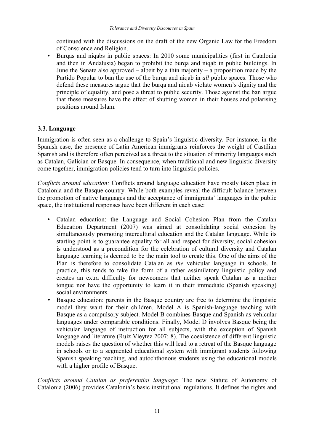continued with the discussions on the draft of the new Organic Law for the Freedom of Conscience and Religion.

• Burgas and niquabs in public spaces: In 2010 some municipalities (first in Catalonia and then in Andalusia) began to prohibit the burqa and niqab in public buildings. In June the Senate also approved – albeit by a thin majority – a proposition made by the Partido Popular to ban the use of the burqa and niqab in *all* public spaces. Those who defend these measures argue that the burqa and niqab violate women's dignity and the principle of equality, and pose a threat to public security. Those against the ban argue that these measures have the effect of shutting women in their houses and polarising positions around Islam.

## **3.3. Language**

Immigration is often seen as a challenge to Spain's linguistic diversity. For instance, in the Spanish case, the presence of Latin American immigrants reinforces the weight of Castilian Spanish and is therefore often perceived as a threat to the situation of minority languages such as Catalan, Galician or Basque. In consequence, when traditional and new linguistic diversity come together, immigration policies tend to turn into linguistic policies.

*Conflicts around education:* Conflicts around language education have mostly taken place in Catalonia and the Basque country. While both examples reveal the difficult balance between the promotion of native languages and the acceptance of immigrants' languages in the public space, the institutional responses have been different in each case:

- Catalan education: the Language and Social Cohesion Plan from the Catalan Education Department (2007) was aimed at consolidating social cohesion by simultaneously promoting intercultural education and the Catalan language. While its starting point is to guarantee equality for all and respect for diversity, social cohesion is understood as a precondition for the celebration of cultural diversity and Catalan language learning is deemed to be the main tool to create this. One of the aims of the Plan is therefore to consolidate Catalan as *the* vehicular language in schools. In practice, this tends to take the form of a rather assimilatory linguistic policy and creates an extra difficulty for newcomers that neither speak Catalan as a mother tongue nor have the opportunity to learn it in their immediate (Spanish speaking) social environments.
- Basque education: parents in the Basque country are free to determine the linguistic model they want for their children. Model A is Spanish-language teaching with Basque as a compulsory subject. Model B combines Basque and Spanish as vehicular languages under comparable conditions. Finally, Model D involves Basque being the vehicular language of instruction for all subjects, with the exception of Spanish language and literature (Ruiz Vieytez 2007: 8). The coexistence of different linguistic models raises the question of whether this will lead to a retreat of the Basque language in schools or to a segmented educational system with immigrant students following Spanish speaking teaching, and autochthonous students using the educational models with a higher profile of Basque.

*Conflicts around Catalan as preferential language*: The new Statute of Autonomy of Catalonia (2006) provides Catalonia's basic institutional regulations. It defines the rights and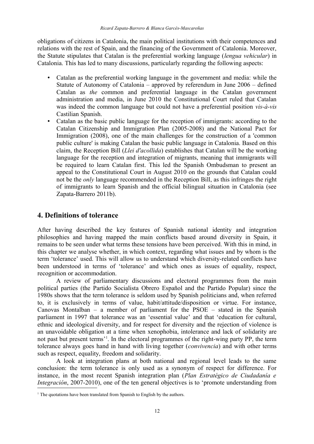obligations of citizens in Catalonia, the main political institutions with their competences and relations with the rest of Spain, and the financing of the Government of Catalonia. Moreover, the Statute stipulates that Catalan is the preferential working language (*lengua vehicular*) in Catalonia. This has led to many discussions, particularly regarding the following aspects:

- Catalan as the preferential working language in the government and media: while the Statute of Autonomy of Catalonia – approved by referendum in June 2006 – defined Catalan as *the* common and preferential language in the Catalan government administration and media, in June 2010 the Constitutional Court ruled that Catalan was indeed the common language but could not have a preferential position *vis-à-vis* Castilian Spanish.
- Catalan as the basic public language for the reception of immigrants: according to the Catalan Citizenship and Immigration Plan (2005-2008) and the National Pact for Immigration (2008), one of the main challenges for the construction of a 'common public culture' is making Catalan the basic public language in Catalonia. Based on this claim, the Reception Bill (*Llei d'acollida*) establishes that Catalan will be the working language for the reception and integration of migrants, meaning that immigrants will be required to learn Catalan first. This led the Spanish Ombudsman to present an appeal to the Constitutional Court in August 2010 on the grounds that Catalan could not be the *only* language recommended in the Reception Bill, as this infringes the right of immigrants to learn Spanish and the official bilingual situation in Catalonia (see Zapata-Barrero 2011b).

## **4. Definitions of tolerance**

After having described the key features of Spanish national identity and integration philosophies and having mapped the main conflicts based around diversity in Spain, it remains to be seen under what terms these tensions have been perceived. With this in mind, in this chapter we analyse whether, in which context, regarding what issues and by whom is the term 'tolerance' used. This will allow us to understand which diversity-related conflicts have been understood in terms of 'tolerance' and which ones as issues of equality, respect, recognition or accommodation.

A review of parliamentary discussions and electoral programmes from the main political parties (the Partido Socialista Obrero Español and the Partido Popular) since the 1980s shows that the term tolerance is seldom used by Spanish politicians and, when referred to, it is exclusively in terms of value, habit/attitude/disposition or virtue. For instance, Canovas Montalban – a member of parliament for the PSOE – stated in the Spanish parliament in 1997 that tolerance was an 'essential value' and that 'education for cultural, ethnic and ideological diversity, and for respect for diversity and the rejection of violence is an unavoidable obligation at a time when xenophobia, intolerance and lack of solidarity are not past but present terms<sup>'[1](#page-16-0)</sup>. In the electoral programmes of the right-wing party PP, the term tolerance always goes hand in hand with living together (*convivencia*) and with other terms such as respect, equality, freedom and solidarity.

A look at integration plans at both national and regional level leads to the same conclusion: the term tolerance is only used as a synonym of respect for difference. For instance, in the most recent Spanish integration plan (*Plan Estratégico de Ciudadanía e Integración*, 2007-2010), one of the ten general objectives is to 'promote understanding from

<span id="page-16-0"></span> $<sup>1</sup>$  The quotations have been translated from Spanish to English by the authors.</sup>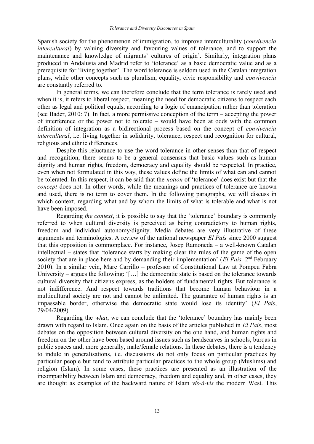Spanish society for the phenomenon of immigration, to improve interculturality (*convivencia intercultural*) by valuing diversity and favouring values of tolerance, and to support the maintenance and knowledge of migrants' cultures of origin'. Similarly, integration plans produced in Andalusia and Madrid refer to 'tolerance' as a basic democratic value and as a prerequisite for 'living together'. The word tolerance is seldom used in the Catalan integration plans, while other concepts such as pluralism, equality, civic responsibility and *convivencia* are constantly referred to*.*

In general terms, we can therefore conclude that the term tolerance is rarely used and when it is, it refers to liberal respect, meaning the need for democratic citizens to respect each other as legal and political equals, according to a logic of emancipation rather than toleration (see Bader, 2010: 7). In fact, a more permissive conception of the term – accepting the power of interference or the power not to tolerate – would have been at odds with the common definition of integration as a bidirectional process based on the concept of *convivencia intercultural*, i.e. living together in solidarity, tolerance, respect and recognition for cultural, religious and ethnic differences.

Despite this reluctance to use the word tolerance in other senses than that of respect and recognition, there seems to be a general consensus that basic values such as human dignity and human rights, freedom, democracy and equality should be respected. In practice, even when not formulated in this way, these values define the limits of what can and cannot be tolerated. In this respect, it can be said that the *notion* of 'tolerance' does exist but that the *concept* does not. In other words, while the meanings and practices of tolerance are known and used, there is no term to cover them. In the following paragraphs, we will discuss in which context, regarding what and by whom the limits of what is tolerable and what is not have been imposed.

Regarding *the context*, it is possible to say that the 'tolerance' boundary is commonly referred to when cultural diversity is perceived as being contradictory to human rights, freedom and individual autonomy/dignity. Media debates are very illustrative of these arguments and terminologies. A review of the national newspaper *El País* since 2000 suggest that this opposition is commonplace. For instance, Josep Ramoneda – a well-known Catalan intellectual – states that 'tolerance starts by making clear the rules of the game of the open society that are in place here and by demanding their implementation' (*El País*, 2<sup>nd</sup> February 2010). In a similar vein, Marc Carrillo – professor of Constitutional Law at Pompeu Fabra University – argues the following: '[…] the democratic state is based on the tolerance towards cultural diversity that citizens express, as the holders of fundamental rights. But tolerance is not indifference. And respect towards traditions that become human behaviour in a multicultural society are not and cannot be unlimited. The guarantee of human rights is an impassable border, otherwise the democratic state would lose its identity' (*El País*, 29/04/2009).

Regarding the *what*, we can conclude that the 'tolerance' boundary has mainly been drawn with regard to Islam. Once again on the basis of the articles published in *El País*, most debates on the opposition between cultural diversity on the one hand, and human rights and freedom on the other have been based around issues such as headscarves in schools, burqas in public spaces and, more generally, male/female relations. In these debates, there is a tendency to indule in generalisations, i.e. discussions do not only focus on particular practices by particular people but tend to attribute particular practices to the whole group (Muslims) and religion (Islam). In some cases, these practices are presented as an illustration of the incompatibility between Islam and democracy, freedom and equality and, in other cases, they are thought as examples of the backward nature of Islam *vis-à-vis* the modern West. This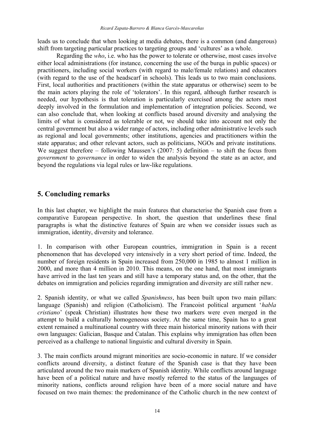leads us to conclude that when looking at media debates, there is a common (and dangerous) shift from targeting particular practices to targeting groups and 'cultures' as a whole.

Regarding the *who*, i.e. who has the power to tolerate or otherwise, most cases involve either local administrations (for instance, concerning the use of the burqa in public spaces) or practitioners, including social workers (with regard to male/female relations) and educators (with regard to the use of the headscarf in schools). This leads us to two main conclusions. First, local authorities and practitioners (within the state apparatus or otherwise) seem to be the main actors playing the role of 'tolerators'. In this regard, although further research is needed, our hypothesis is that toleration is particularly exercised among the actors most deeply involved in the formulation and implementation of integration policies. Second, we can also conclude that, when looking at conflicts based around diversity and analysing the limits of what is considered as tolerable or not, we should take into account not only the central government but also a wider range of actors, including other administrative levels such as regional and local governments; other institutions, agencies and practitioners within the state apparatus; and other relevant actors, such as politicians, NGOs and private institutions. We suggest therefore – following Maussen's (2007: 5) definition – to shift the focus from *government* to *governance* in order to widen the analysis beyond the state as an actor, and beyond the regulations via legal rules or law-like regulations.

## **5. Concluding remarks**

In this last chapter, we highlight the main features that characterise the Spanish case from a comparative European perspective. In short, the question that underlines these final paragraphs is what the distinctive features of Spain are when we consider issues such as immigration, identity, diversity and tolerance.

1. In comparison with other European countries, immigration in Spain is a recent phenomenon that has developed very intensively in a very short period of time. Indeed, the number of foreign residents in Spain increased from 250,000 in 1985 to almost 1 million in 2000, and more than 4 million in 2010. This means, on the one hand, that most immigrants have arrived in the last ten years and still have a temporary status and, on the other, that the debates on immigration and policies regarding immigration and diversity are still rather new.

2. Spanish identity, or what we called *Spanishness*, has been built upon two main pillars: language (Spanish) and religion (Catholicism). The Francoist political argument '*habla cristiano*' (speak Christian) illustrates how these two markers were even merged in the attempt to build a culturally homogeneous society. At the same time, Spain has to a great extent remained a multinational country with three main historical minority nations with their own languages: Galician, Basque and Catalan. This explains why immigration has often been perceived as a challenge to national linguistic and cultural diversity in Spain.

3. The main conflicts around migrant minorities are socio-economic in nature. If we consider conflicts around diversity, a distinct feature of the Spanish case is that they have been articulated around the two main markers of Spanish identity. While conflicts around language have been of a political nature and have mostly referred to the status of the languages of minority nations, conflicts around religion have been of a more social nature and have focused on two main themes: the predominance of the Catholic church in the new context of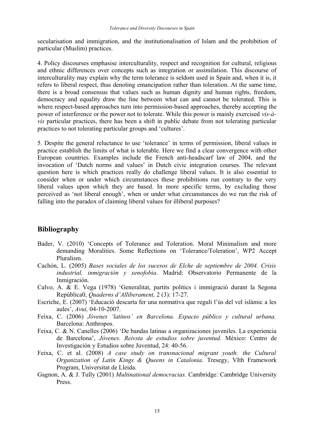secularisation and immigration, and the institutionalisation of Islam and the prohibition of particular (Muslim) practices.

4. Policy discourses emphasise interculturality, respect and recognition for cultural, religious and ethnic differences over concepts such as integration or assimilation. This discourse of interculturality may explain why the term tolerance is seldom used in Spain and, when it is, it refers to liberal respect, thus denoting emancipation rather than toleration. At the same time, there is a broad consensus that values such as human dignity and human rights, freedom, democracy and equality draw the line between what can and cannot be tolerated. This is where respect-based approaches turn into permission-based approaches, thereby accepting the power of interference or the power not to tolerate. While this power is mainly exercised *vis-àvis* particular practices, there has been a shift in public debate from not tolerating particular practices to not tolerating particular groups and 'cultures'.

5. Despite the general reluctance to use 'tolerance' in terms of permission, liberal values in practice establish the limits of what is tolerable. Here we find a clear convergence with other European countries. Examples include the French anti-headscarf law of 2004, and the invocation of 'Dutch norms and values' in Dutch civic integration courses. The relevant question here is which practices really do challenge liberal values. It is also essential to consider when or under which circumstances these prohibitions run contrary to the very liberal values upon which they are based. In more specific terms, by excluding those perceived as 'not liberal enough', when or under what circumstances do we run the risk of falling into the paradox of claiming liberal values for illiberal purposes?

## **Bibliography**

- Bader, V. (2010) 'Concepts of Tolerance and Toleration. Moral Minimalism and more demanding Moralities. Some Reflections on 'Tolerance/Toleration', WP2 Accept Pluralism.
- Cachón, L. (2005) *Bases sociales de los sucesos de Elche de septiembre de 2004. Crisis industrial, inmigración y xenofobia*. Madrid: Observatorio Permanente de la Inmigración.
- Calvo, A. & E. Vega (1978) 'Generalitat, partits politics i immigració durant la Segona República0, *Quaderns d'Alliberament,* 2 (3): 17-27.
- Escriche, E. (2007) 'Educació descarta fer una normativa que reguli l'ús del vel islàmic a les aules', *Avui,* 04-10-2007.
- Feixa, C. (2006) *Jóvenes 'latinos' en Barcelona. Espacio público y cultural urbana.* Barcelona: Anthropos.
- Feixa, C. & N. Canelles (2006) 'De bandas latinas a organizaciones juveniles. La experiencia de Barcelona', *Jóvenes. Reivsta de estudios sobre juventud.* México: Centro de Investigación y Estudios sobre Juventud, 24: 40-56.
- Feixa, C. et al. (2008) *A case study on transnacional migrant youth: the Cultural Organization of Latin Kings & Queens in Catalonia*. Tresegy, VIth Framework Program, Universitat de Lleida.
- Gagnon, A. & J. Tully (2001) *Multinational democracias.* Cambridge: Cambridge University Press.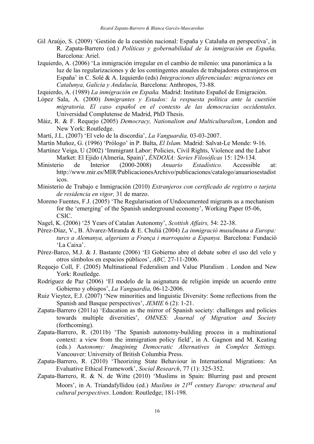- Gil Araújo, S. (2009) 'Gestión de la cuestión nacional: España y Cataluña en perspectiva', in R. Zapata-Barrero (ed.) *Políticas y gobernabilidad de la inmigración en España,* Barcelona: Ariel.
- Izquierdo, A. (2006) 'La inmigración irregular en el cambio de milenio: una panorámica a la luz de las regularizaciones y de los contingentes anuales de trabajadores extranjeros en España' in C. Solé & A. Izquierdo (eds) *Integraciones diferenciadas: migraciones en Catalunya, Galicia y Andalucía,* Barcelona: Anthropos, 73-88.
- Izquierdo, A. (1989) *La inmigración en España.* Madrid: Instituto Español de Emigración.
- López Sala, A. (2000) *Inmigrantes y Estados: la respuesta política ante la cuestión migratoria. El caso español en el contexto de las democracias occidentales.* Universidad Complutense de Madrid, PhD Thesis.
- Máiz, R. & F. Requejo (2005) *Democracy, Nationalism and Multiculturalism*, London and New York: Routledge.
- Martí, J.L. (2007) 'El velo de la discordia', *La Vanguardia,* 03-03-2007.
- Martín Muñoz, G. (1996) 'Prólogo' in P. Balta, *El Islam.* Madrid: Salvat-Le Monde: 9-16.
- Martínez Veiga, U (2002) 'Immigrant Labor: Policies, Civil Rights, Violence and the Labor Market: El Ejido (Almería, Spain)', *ÉNDOXA: Series Filosóficas* 15: 129-134.
- Ministerio de Interior (2000-2008) *Anuario Estadístico.* Accessible at: http://www.mir.es/MIR/PublicacionesArchivo/publicaciones/catalogo/anuariosestadist icos.
- Ministerio de Trabajo e Inmigración (2010) *Extranjeros con certificado de registro o tarjeta de residencia en vigor,* 31 de marzo.
- Moreno Fuentes, F.J. (2005) 'The Regularisation of Undocumented migrants as a mechanism for the 'emerging' of the Spanish underground economy', Working Paper 05-06, CSIC.
- Nagel, K. (2006) '25 Years of Catalan Autonomy', *Scottish Affairs,* 54: 22-38.
- Pérez-Díaz, V., B. Álvarez-Miranda & E. Chuliá (2004) *La inmigració musulmana a Europa: turcs a Alemanya, algerians a França i marroquins a Espanya.* Barcelona: Fundació 'La Caixa'.
- Pérez-Barco, M.J. & J. Bastante (2006) 'El Gobierno abre el debate sobre el uso del velo y otros símbolos en espacios públicos', *ABC,* 27-11-2006.
- Requejo Coll, F. (2005) Multinational Federalism and Value Pluralism . London and New York: Routledge.
- Rodríguez de Paz (2006) 'El modelo de la asignatura de religión impide un acuerdo entre Gobierno y obispos', *La Vanguardia,* 06-12-2006.
- Ruiz Vieytez, E.J. (2007) 'New minorities and linguistic Diversity: Some reflections from the Spanish and Basque perspectives', *JEMIE* 6 (2): 1-21.
- Zapata-Barrero (2011a) 'Education as the mirror of Spanish society: challenges and policies towards multiple diversities', *OMNES: Journal of Migration and Society* (forthcoming).
- Zapata-Barrero, R. (2011b) 'The Spanish autonomy-building process in a multinational context: a view from the immigration policy field', in A. Gagnon and M. Keating (eds.) A*utonomy: Imagining Democratic Alternatives in Complex Settings.* Vancouver: University of British Columbia Press.
- Zapata-Barrero, R. (2010) 'Theorizing State Behaviour in International Migrations: An Evaluative Ethical Framework', *Social Research*, 77 (1): 325-352.
- Zapata-Barrero, R. & N. de Witte (2010) 'Muslims in Spain: Blurring past and present Moors', in A. Triandafyllidou (ed.) *Muslims in 21[st century Europe: structural and](http://www.routledge.com/books/details/9780415497091/) [cultural perspectives](http://www.routledge.com/books/details/9780415497091/)*. London: Routledge; 181-198.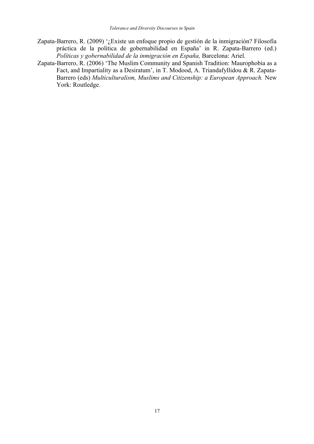- Zapata-Barrero, R. (2009) '¿Existe un enfoque propio de gestión de la inmigración? Filosofía práctica de la política de gobernabilidad en España' in R. Zapata-Barrero (ed.) *Políticas y gobernabilidad de la inmigración en España,* Barcelona: Ariel.
- Zapata-Barrero, R. (2006) 'The Muslim Community and Spanish Tradition: Maurophobia as a Fact, and Impartiality as a Desiratum', in T. Modood, A. Triandafyllidou & R. Zapata-Barrero (eds) *Multiculturalism, Muslims and Citizenship: a European Approach.* New York: Routledge.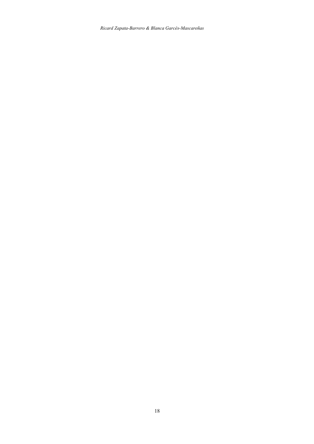*Ricard Zapata-Barrero & Blanca Garcés-Mascareñas*